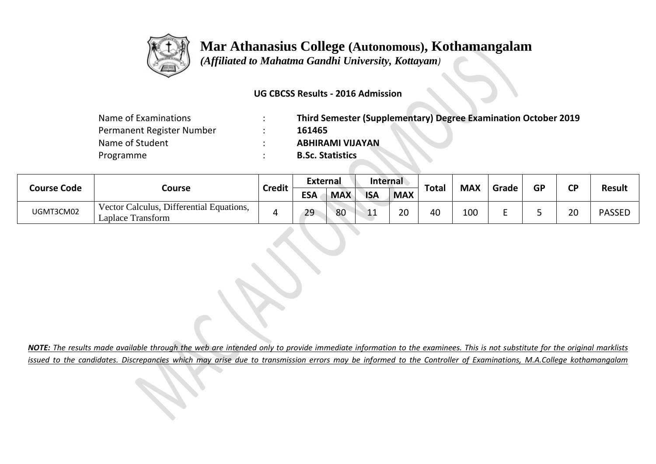

 *(Affiliated to Mahatma Gandhi University, Kottayam)*

#### **UG CBCSS Results - 2016 Admission**

| Name of Examinations      | Third Semester (Supplementary) Degree Examination October 2019 |
|---------------------------|----------------------------------------------------------------|
| Permanent Register Number | 161465                                                         |
| Name of Student           | <b>ABHIRAMI VIJAYAN</b>                                        |
| Programme                 | <b>B.Sc. Statistics</b>                                        |

| <b>Course Code</b> | Course                                                        |               | <b>External</b> |            | <b>Internal</b>       |            |              | <b>MAX</b> |       | <b>GP</b> | <b>CD</b> |               |
|--------------------|---------------------------------------------------------------|---------------|-----------------|------------|-----------------------|------------|--------------|------------|-------|-----------|-----------|---------------|
|                    |                                                               | <b>Credit</b> | <b>ESA</b>      | <b>MAX</b> | <b>ISA</b>            | <b>MAX</b> | <b>Total</b> |            | Grade |           |           | <b>Result</b> |
| UGMT3CM02          | Vector Calculus, Differential Equations,<br>Laplace Transform |               | 29              | 80         | $\overline{1}$<br>--- | 20         | 40           | 100        |       |           | วก<br>∠∪  | <b>PASSED</b> |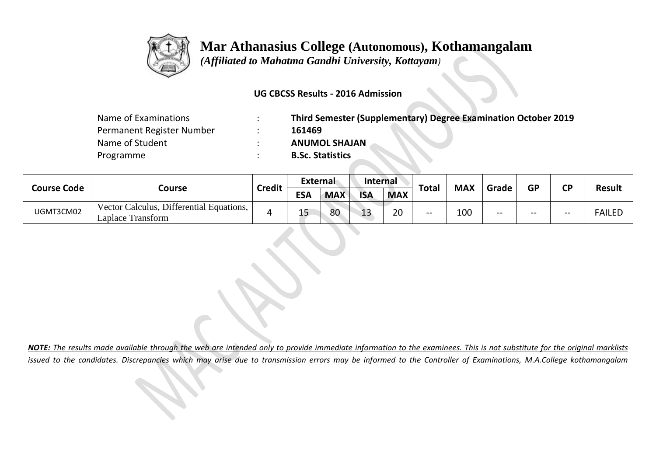

 *(Affiliated to Mahatma Gandhi University, Kottayam)*

#### **UG CBCSS Results - 2016 Admission**

| Name of Examinations      | Third Semester (Supplementary) Degree Examination October 2019 |
|---------------------------|----------------------------------------------------------------|
| Permanent Register Number | 161469                                                         |
| Name of Student           | <b>ANUMOL SHAJAN</b>                                           |
| Programme                 | <b>B.Sc. Statistics</b>                                        |

| <b>Course Code</b> |                                                               |               | External   |            | <b>Internal</b> |            |              | <b>MAX</b> |       | <b>GP</b> |           |               |
|--------------------|---------------------------------------------------------------|---------------|------------|------------|-----------------|------------|--------------|------------|-------|-----------|-----------|---------------|
|                    | Course                                                        | <b>Credit</b> | <b>ESA</b> | <b>MAX</b> | <b>ISA</b>      | <b>MAX</b> | <b>Total</b> |            | Grade |           | <b>CP</b> | <b>Result</b> |
| UGMT3CM02          | Vector Calculus, Differential Equations,<br>Laplace Transform |               | 15         | 80         | $\sim$<br>ᅩJ    | 20         | $- -$        | 100        | $- -$ | $- -$     | $- -$     | <b>FAILED</b> |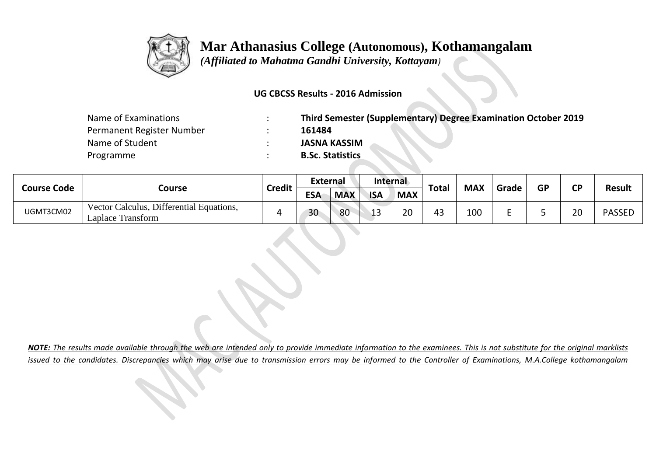

 *(Affiliated to Mahatma Gandhi University, Kottayam)*

#### **UG CBCSS Results - 2016 Admission**

| Name of Examinations      | Third Semester (Supplementary) Degree Examination October 2019 |
|---------------------------|----------------------------------------------------------------|
| Permanent Register Number | 161484                                                         |
| Name of Student           | <b>JASNA KASSIM</b>                                            |
| Programme                 | <b>B.Sc. Statistics</b>                                        |

| <b>Course Code</b> | Course                                                        |               | External   |            | Internal   |                    |              | <b>MAX</b> |       | GP | СD |               |
|--------------------|---------------------------------------------------------------|---------------|------------|------------|------------|--------------------|--------------|------------|-------|----|----|---------------|
|                    |                                                               | <b>Credit</b> | <b>ESA</b> | <b>MAX</b> | <b>ISA</b> | <b>MAX</b>         | <b>Total</b> |            | Grade |    |    | <b>Result</b> |
| UGMT3CM02          | Vector Calculus, Differential Equations,<br>Laplace Transform |               | 30         | 80         | . .        | $\mathsf{a}$<br>zu | 43           | 100        |       |    | ີ  | <b>PASSEL</b> |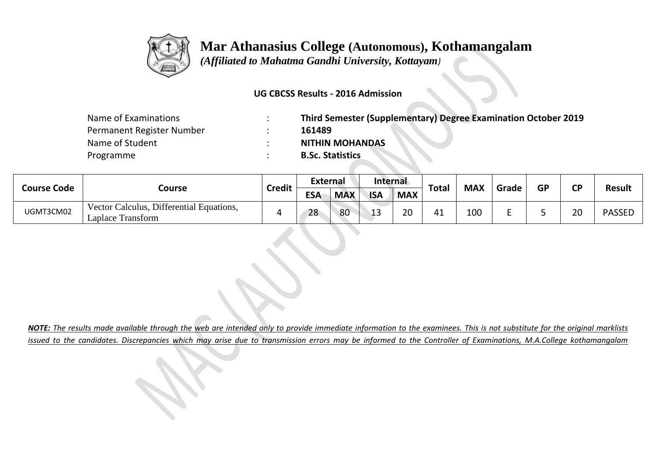

 *(Affiliated to Mahatma Gandhi University, Kottayam)*

### **UG CBCSS Results - 2016 Admission**

| Name of Examinations      | Third Semester (Supplementary) Degree Examination October 2019 |
|---------------------------|----------------------------------------------------------------|
| Permanent Register Number | 161489                                                         |
| Name of Student           | <b>NITHIN MOHANDAS</b>                                         |
| Programme                 | <b>B.Sc. Statistics</b>                                        |

| <b>Course Code</b> |                                                               |               |            | <b>External</b> |            | Internal   |              | <b>MAX</b> |       | <b>GP</b> | <b>CD</b> |               |
|--------------------|---------------------------------------------------------------|---------------|------------|-----------------|------------|------------|--------------|------------|-------|-----------|-----------|---------------|
|                    | Course                                                        | <b>Credit</b> | <b>ESA</b> | <b>MAX</b>      | <b>ISA</b> | <b>MAX</b> | <b>Total</b> |            | Grade |           |           | <b>Result</b> |
| UGMT3CM02          | Vector Calculus, Differential Equations,<br>Laplace Transform |               | 28         | 80              | . 1. 2     | 20         | 41           | 100        |       |           | 20        | <b>PASSEL</b> |